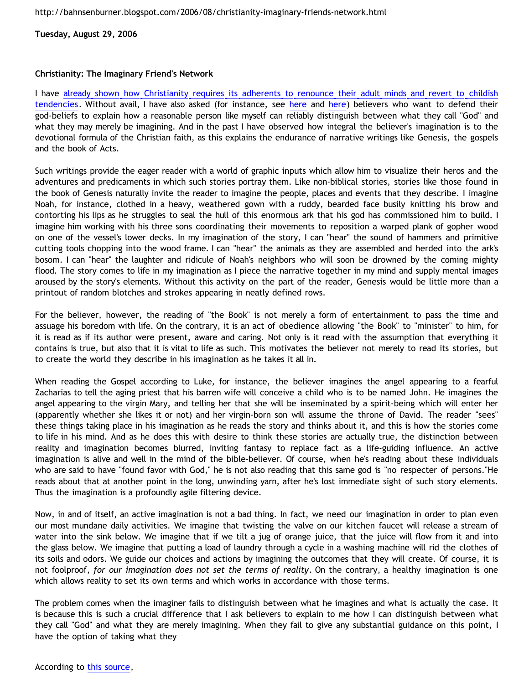**Tuesday, August 29, 2006**

## **Christianity: The Imaginary Friend's Network**

I have [already shown how Christianity requires its adherents to renounce their adult minds and revert to childish](http://bahnsenburner.blogspot.com/2005/12/with-minds-of-children.html) [tendencies](http://bahnsenburner.blogspot.com/2005/12/with-minds-of-children.html). Without avail, I have also asked (for instance, see [here](http://bahnsenburner.blogspot.com/2006/07/theism-and-its-piggyback-starting.html) and here) believers who want to defend their god-beliefs to explain how a reasonable person like myself can reliably distinguish between what they call "God" and what they may merely be imagining. And in the past I have observed how integral the believer's imagination is to the devotional formula of the Christian faith, as this explains the endurance of narrative writings like Genesis, the gospels and the book of Acts.

Such writings provide the eager reader with a world of graphic inputs which allow him to visualize their heros and the adventures and predicaments in which such stories portray them. Like non-biblical stories, stories like those found in the book of Genesis naturally invite the reader to imagine the people, places and events that they describe. I imagine Noah, for instance, clothed in a heavy, weathered gown with a ruddy, bearded face busily knitting his brow and contorting his lips as he struggles to seal the hull of this enormous ark that his god has commissioned him to build. I imagine him working with his three sons coordinating their movements to reposition a warped plank of gopher wood on one of the vessel's lower decks. In my imagination of the story, I can "hear" the sound of hammers and primitive cutting tools chopping into the wood frame. I can "hear" the animals as they are assembled and herded into the ark's bosom. I can "hear" the laughter and ridicule of Noah's neighbors who will soon be drowned by the coming mighty flood. The story comes to life in my imagination as I piece the narrative together in my mind and supply mental images aroused by the story's elements. Without this activity on the part of the reader, Genesis would be little more than a printout of random blotches and strokes appearing in neatly defined rows.

For the believer, however, the reading of "the Book" is not merely a form of entertainment to pass the time and assuage his boredom with life. On the contrary, it is an act of obedience allowing "the Book" to "minister" to him, for it is read as if its author were present, aware and caring. Not only is it read with the assumption that everything it contains is true, but also that it is vital to life as such. This motivates the believer not merely to read its stories, but to create the world they describe in his imagination as he takes it all in.

When reading the Gospel according to Luke, for instance, the believer imagines the angel appearing to a fearful Zacharias to tell the aging priest that his barren wife will conceive a child who is to be named John. He imagines the angel appearing to the virgin Mary, and telling her that she will be inseminated by a spirit-being which will enter her (apparently whether she likes it or not) and her virgin-born son will assume the throne of David. The reader "sees" these things taking place in his imagination as he reads the story and thinks about it, and this is how the stories come to life in his mind. And as he does this with desire to think these stories are actually true, the distinction between reality and imagination becomes blurred, inviting fantasy to replace fact as a life-guiding influence. An active imagination is alive and well in the mind of the bible-believer. Of course, when he's reading about these individuals who are said to have "found favor with God," he is not also reading that this same god is "no respecter of persons."He reads about that at another point in the long, unwinding yarn, after he's lost immediate sight of such story elements. Thus the imagination is a profoundly agile filtering device.

Now, in and of itself, an active imagination is not a bad thing. In fact, we need our imagination in order to plan even our most mundane daily activities. We imagine that twisting the valve on our kitchen faucet will release a stream of water into the sink below. We imagine that if we tilt a jug of orange juice, that the juice will flow from it and into the glass below. We imagine that putting a load of laundry through a cycle in a washing machine will rid the clothes of its soils and odors. We guide our choices and actions by imagining the outcomes that they will create. Of course, it is not foolproof, *for our imagination does not set the terms of reality*. On the contrary, a healthy imagination is one which allows reality to set its own terms and which works in accordance with those terms.

The problem comes when the imaginer fails to distinguish between what he imagines and what is actually the case. It is because this is such a crucial difference that I ask believers to explain to me how I can distinguish between what they call "God" and what they are merely imagining. When they fail to give any substantial guidance on this point, I have the option of taking what they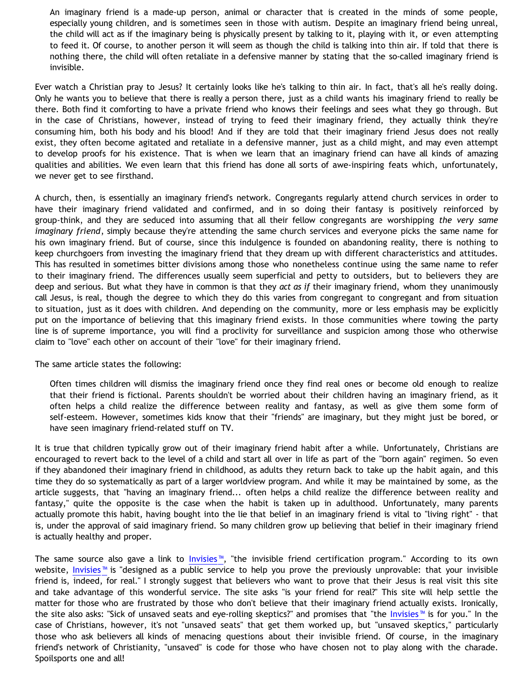An imaginary friend is a made-up person, animal or character that is created in the minds of some people, especially young children, and is sometimes seen in those with autism. Despite an imaginary friend being unreal, the child will act as if the imaginary being is physically present by talking to it, playing with it, or even attempting to feed it. Of course, to another person it will seem as though the child is talking into thin air. If told that there is nothing there, the child will often retaliate in a defensive manner by stating that the so-called imaginary friend is invisible.

Ever watch a Christian pray to Jesus? It certainly looks like he's talking to thin air. In fact, that's all he's really doing. Only he wants you to believe that there is really a person there, just as a child wants his imaginary friend to really be there. Both find it comforting to have a private friend who knows their feelings and sees what they go through. But in the case of Christians, however, instead of trying to feed their imaginary friend, they actually think they're consuming him, both his body and his blood! And if they are told that their imaginary friend Jesus does not really exist, they often become agitated and retaliate in a defensive manner, just as a child might, and may even attempt to develop proofs for his existence. That is when we learn that an imaginary friend can have all kinds of amazing qualities and abilities. We even learn that this friend has done all sorts of awe-inspiring feats which, unfortunately, we never get to see firsthand.

A church, then, is essentially an imaginary friend's network. Congregants regularly attend church services in order to have their imaginary friend validated and confirmed, and in so doing their fantasy is positively reinforced by group-think, and they are seduced into assuming that all their fellow congregants are worshipping *the very same imaginary friend*, simply because they're attending the same church services and everyone picks the same name for his own imaginary friend. But of course, since this indulgence is founded on abandoning reality, there is nothing to keep churchgoers from investing the imaginary friend that they dream up with different characteristics and attitudes. This has resulted in sometimes bitter divisions among those who nonetheless continue using the same name to refer to their imaginary friend. The differences usually seem superficial and petty to outsiders, but to believers they are deep and serious. But what they have in common is that they *act as if* their imaginary friend, whom they unanimously call Jesus, is real, though the degree to which they do this varies from congregant to congregant and from situation to situation, just as it does with children. And depending on the community, more or less emphasis may be explicitly put on the importance of believing that this imaginary friend exists. In those communities where towing the party line is of supreme importance, you will find a proclivity for surveillance and suspicion among those who otherwise claim to "love" each other on account of their "love" for their imaginary friend.

The same article states the following:

Often times children will dismiss the imaginary friend once they find real ones or become old enough to realize that their friend is fictional. Parents shouldn't be worried about their children having an imaginary friend, as it often helps a child realize the difference between reality and fantasy, as well as give them some form of self-esteem. However, sometimes kids know that their "friends" are imaginary, but they might just be bored, or have seen imaginary friend-related stuff on TV.

It is true that children typically grow out of their imaginary friend habit after a while. Unfortunately, Christians are encouraged to revert back to the level of a child and start all over in life as part of the "born again" regimen. So even if they abandoned their imaginary friend in childhood, as adults they return back to take up the habit again, and this time they do so systematically as part of a larger worldview program. And while it may be maintained by some, as the article suggests, that "having an imaginary friend... often helps a child realize the difference between reality and fantasy," quite the opposite is the case when the habit is taken up in adulthood. Unfortunately, many parents actually promote this habit, having bought into the lie that belief in an imaginary friend is vital to "living right" - that is, under the approval of said imaginary friend. So many children grow up believing that belief in their imaginary friend is actually healthy and proper.

The same source also gave a link to [Invisies™,](http://www.invisies.com/) "the invisible friend certification program." According to its own website, [Invisies™](http://www.invisies.com/) is "designed as a public service to help you prove the previously unprovable: that your invisible friend is, indeed, for real." I strongly suggest that believers who want to prove that their Jesus is real visit this site and take advantage of this wonderful service. The site asks "is your friend for real?" This site will help settle the matter for those who are frustrated by those who don't believe that their imaginary friend actually exists. Ironically, the site also asks: "Sick of unsaved seats and eye-rolling skeptics?" and promises that "the [Invisies™](http://www.invisies.com/) is for you." In the case of Christians, however, it's not "unsaved seats" that get them worked up, but "unsaved skeptics," particularly those who ask believers all kinds of menacing questions about their invisible friend. Of course, in the imaginary friend's network of Christianity, "unsaved" is code for those who have chosen not to play along with the charade. Spoilsports one and all!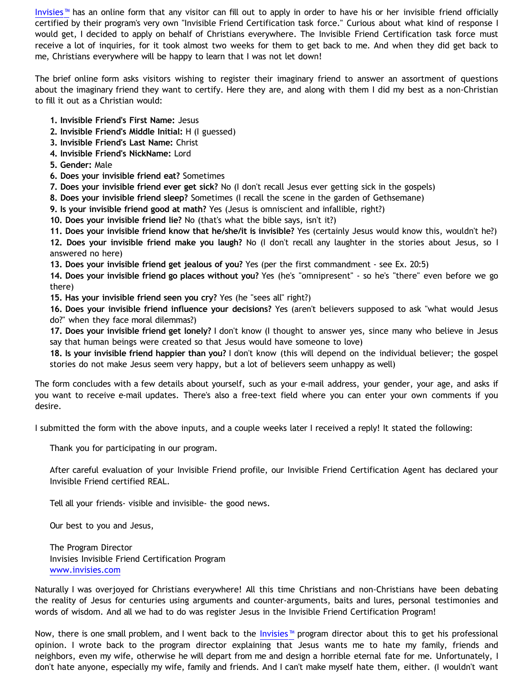[Invisies™](http://www.invisies.com/) has an online form that any visitor can fill out to apply in order to have his or her invisible friend officially certified by their program's very own "Invisible Friend Certification task force." Curious about what kind of response I would get, I decided to apply on behalf of Christians everywhere. The Invisible Friend Certification task force must receive a lot of inquiries, for it took almost two weeks for them to get back to me. And when they did get back to me, Christians everywhere will be happy to learn that I was not let down!

The brief online form asks visitors wishing to register their imaginary friend to answer an assortment of questions about the imaginary friend they want to certify. Here they are, and along with them I did my best as a non-Christian to fill it out as a Christian would:

- **1. Invisible Friend's First Name:** Jesus
- **2. Invisible Friend's Middle Initial:** H (I guessed)
- **3. Invisible Friend's Last Name:** Christ
- **4. Invisible Friend's NickName:** Lord
- **5. Gender:** Male
- **6. Does your invisible friend eat?** Sometimes
- **7. Does your invisible friend ever get sick?** No (I don't recall Jesus ever getting sick in the gospels)
- **8. Does your invisible friend sleep?** Sometimes (I recall the scene in the garden of Gethsemane)
- **9. Is your invisible friend good at math?** Yes (Jesus is omniscient and infallible, right?)

**10. Does your invisible friend lie?** No (that's what the bible says, isn't it?)

**11. Does your invisible friend know that he/she/it is invisible?** Yes (certainly Jesus would know this, wouldn't he?) **12. Does your invisible friend make you laugh?** No (I don't recall any laughter in the stories about Jesus, so I answered no here)

**13. Does your invisible friend get jealous of you?** Yes (per the first commandment - see Ex. 20:5)

**14. Does your invisible friend go places without you?** Yes (he's "omnipresent" - so he's "there" even before we go there)

**15. Has your invisible friend seen you cry?** Yes (he "sees all" right?)

**16. Does your invisible friend influence your decisions?** Yes (aren't believers supposed to ask "what would Jesus do?" when they face moral dilemmas?)

**17. Does your invisible friend get lonely?** I don't know (I thought to answer yes, since many who believe in Jesus say that human beings were created so that Jesus would have someone to love)

**18. Is your invisible friend happier than you?** I don't know (this will depend on the individual believer; the gospel stories do not make Jesus seem very happy, but a lot of believers seem unhappy as well)

The form concludes with a few details about yourself, such as your e-mail address, your gender, your age, and asks if you want to receive e-mail updates. There's also a free-text field where you can enter your own comments if you desire.

I submitted the form with the above inputs, and a couple weeks later I received a reply! It stated the following:

Thank you for participating in our program.

After careful evaluation of your Invisible Friend profile, our Invisible Friend Certification Agent has declared your Invisible Friend certified REAL.

Tell all your friends- visible and invisible- the good news.

Our best to you and Jesus,

The Program Director Invisies Invisible Friend Certification Program [www.invisies.com](javascript:ol()

Naturally I was overjoyed for Christians everywhere! All this time Christians and non-Christians have been debating the reality of Jesus for centuries using arguments and counter-arguments, baits and lures, personal testimonies and words of wisdom. And all we had to do was register Jesus in the Invisible Friend Certification Program!

Now, there is one small problem, and I went back to the [Invisies™](http://www.invisies.com/) program director about this to get his professional opinion. I wrote back to the program director explaining that Jesus wants me to hate my family, friends and neighbors, even my wife, otherwise he will depart from me and design a horrible eternal fate for me. Unfortunately, I don't hate anyone, especially my wife, family and friends. And I can't make myself hate them, either. (I wouldn't want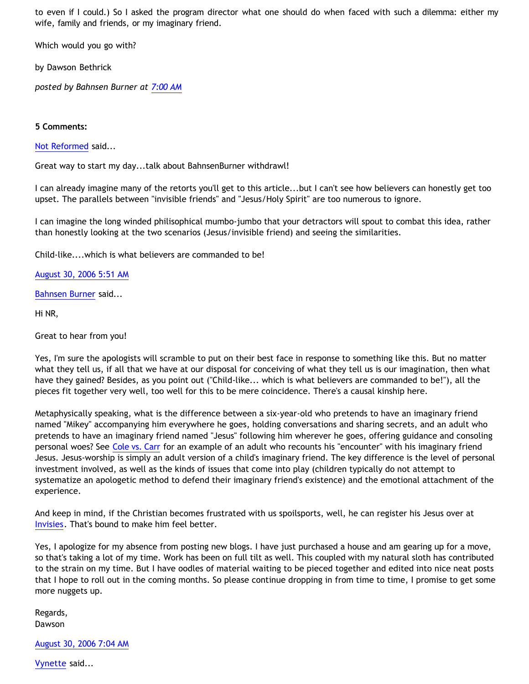to even if I could.) So I asked the program director what one should do when faced with such a dilemma: either my wife, family and friends, or my imaginary friend.

Which would you go with?

by Dawson Bethrick

*posted by Bahnsen Burner at [7:00 AM](http://bahnsenburner.blogspot.com/2006/08/christianity-imaginary-friends-network.html)*

## **5 Comments:**

[Not Reformed](http://www.blogger.com/profile/8159639) said...

Great way to start my day...talk about BahnsenBurner withdrawl!

I can already imagine many of the retorts you'll get to this article...but I can't see how believers can honestly get too upset. The parallels between "invisible friends" and "Jesus/Holy Spirit" are too numerous to ignore.

I can imagine the long winded philisophical mumbo-jumbo that your detractors will spout to combat this idea, rather than honestly looking at the two scenarios (Jesus/invisible friend) and seeing the similarities.

Child-like....which is what believers are commanded to be!

[August 30, 2006 5:51 AM](http://bahnsenburner.blogspot.com/2006/08/115694226147614546)

[Bahnsen Burner](http://www.blogger.com/profile/7766918) said...

Hi NR,

Great to hear from you!

Yes, I'm sure the apologists will scramble to put on their best face in response to something like this. But no matter what they tell us, if all that we have at our disposal for conceiving of what they tell us is our imagination, then what have they gained? Besides, as you point out ("Child-like... which is what believers are commanded to be!"), all the pieces fit together very well, too well for this to be mere coincidence. There's a causal kinship here.

Metaphysically speaking, what is the difference between a six-year-old who pretends to have an imaginary friend named "Mikey" accompanying him everywhere he goes, holding conversations and sharing secrets, and an adult who pretends to have an imaginary friend named "Jesus" following him wherever he goes, offering guidance and consoling personal woes? See [Cole vs. Carr](http://bahnsenburner.blogspot.com/2006/06/carr-vs-cole.html) for an example of an adult who recounts his "encounter" with his imaginary friend Jesus. Jesus-worship is simply an adult version of a child's imaginary friend. The key difference is the level of personal investment involved, as well as the kinds of issues that come into play (children typically do not attempt to systematize an apologetic method to defend their imaginary friend's existence) and the emotional attachment of the experience.

And keep in mind, if the Christian becomes frustrated with us spoilsports, well, he can register his Jesus over at [Invisies](http://www.invisies.com/). That's bound to make him feel better.

Yes, I apologize for my absence from posting new blogs. I have just purchased a house and am gearing up for a move, so that's taking a lot of my time. Work has been on full tilt as well. This coupled with my natural sloth has contributed to the strain on my time. But I have oodles of material waiting to be pieced together and edited into nice neat posts that I hope to roll out in the coming months. So please continue dropping in from time to time, I promise to get some more nuggets up.

Regards, Dawson

[August 30, 2006 7:04 AM](http://bahnsenburner.blogspot.com/2006/08/115694669848778223)

[Vynette](http://www.blogger.com/profile/7900715) said...